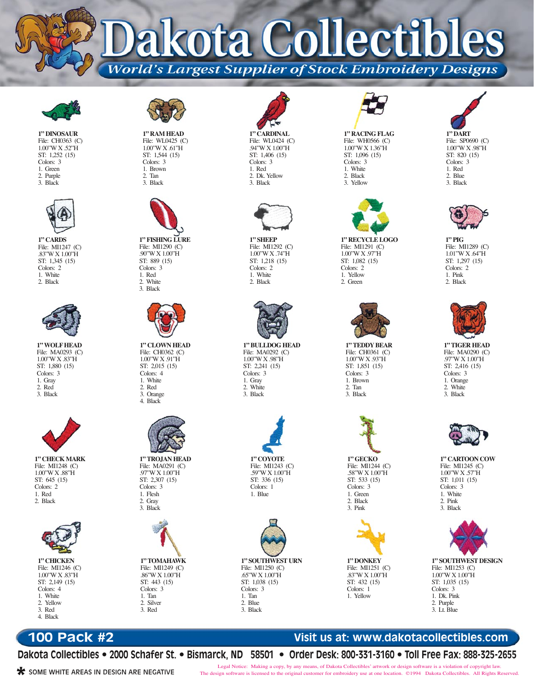ota Collect **World's Largest Supplier of Stock Embroidery Designs** 



**1" DINOSAUR** File: CH0363 (C) 1.00"W X .52"H ST: 1,252 (15) Colors: 3 1. Green 2. Purple 3. Black



**1" CARDS** File: MI1247 (C) .83"W X 1.00"H ST: 1,345 (15) Colors: 2 1. White 2. Black



**1" WOLF HEAD** File: MA0293 (C) 1.00"W X .83"H ST: 1,880 (15) Colors: 3 1. Gray 2. Red 3. Black



1.00"W X .88"H ST: 645 (15) Colors: 2 1. Red 2. Black



**1" CHICKEN** File: MI1246 (C) 1.00"W X .83"H ST: 2,149 (15) Colors: 4 1. White 2. Yellow 3. Red 4. Black



**1" RAM HEAD** File: WL0425 (C) 1.00"W X .61"H ST: 1,544 (15) Colors: 3 1. Brown 2. Tan 3. Black



**1" FISHING LURE** File: MI1290 (C) .90"W X 1.00"H ST: 889 (15) Colors: 3 1. Red 2. White 3. Black



**1" CLOWN HEAD** File: CH0362 (C) 1.00"W X .91"H ST: 2,015 (15) Colors: 4 1. White 2. Red 3. Orange 4. Black



**1" TROJAN HEAD** File: MA0291 (C) .97"W X 1.00"H ST: 2,307 (15) Colors: 3 1. Flesh 2. Gray 3. Black



**1" TOMAHAWK** File: MI1249 (C) .86"W X 1.00"H ST: 443 (15) Colors: 3 1. Tan 2. Silver 3. Red



**1" CARDINAL** File: WL0424 (C) .94"W X 1.00"H ST: 1,406 (15) Colors: 3 1. Red 2. Dk. Yellow 3. Black



**1" SHEEP** File: MI1292 (C) 1.00"W X .74"H ST: 1,218 (15) Colors: 2 1. White 2. Black



**1" BULLDOG HEAD** File: MA0292 (C) 1.00"W X .98"H ST: 2,241 (15) Colors: 3 1. Gray 2. White 3. Black





**1" SOUTHWEST URN** File: MI1250 (C) .65"W X 1.00"H ST: 1,038 (15) Colors: 3 1. Tan 2. Blue 3. Black



**1" RACING FLAG** File: WH0566 (C) 1.00"W X 1.36"H ST: 1,096 (15) Colors: 3 1. White 2. Black 3. Yellow



**1" RECYCLE LOGO** File: MI1291 (C) 1.00"W X .97"H ST: 1,082 (15) Colors: 2 1. Yellow 2. Green



**1" TEDDY BEAR** File: CH0361 (C) 1.00"W X .93"H ST: 1,851 (15) Colors: 3 1. Brown 2. Tan 3. Black



**1" GECKO** File: MI1244 (C) .58"W X 1.00"H ST: 533 (15) Colors: 3 1. Green 2. Black 3. Pink



**1" DONKEY** File: MI1251 (C) .83"W X 1.00"H ST: 432 (15) Colors: 1 1. Yellow





**1" PIG** File: MI1289 (C) 1.01"W X .64"H ST: 1,297 (15) Colors: 2 1. Pink 2. Black



**1" TIGER HEAD** File: MA0290 (C) .97"W X 1.00"H ST: 2,416 (15) Colors: 3 1. Orange 2. White 3. Black



**1" CARTOON COW** File: MI1245 (C) 1.00"W X .57"H ST: 1,011 (15) Colors: 3 1. White 2. Pink 3. Black



**1" SOUTHWEST DESIGN** File: MI1253 (C) 1.00"W X 1.00"H ST: 1,035 (15) Colors: 3 1. Dk. Pink 2. Purple 3. Lt. Blue

# **100 Pack #2**

## **Visit us at: www.dakotacollectibles.com**

**Dakota Collectibles • 2000 Schafer St. • Bismarck, ND 58501 • Order Desk: 800-331-3160 • Toll Free Fax: 888-325-2655**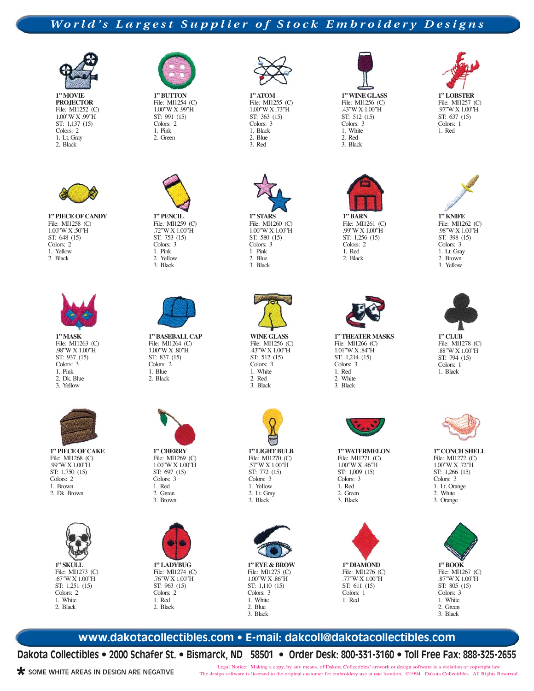## *World's Largest Supplier of Stock Embroidery Designs*



**1" MOVIE PROJECTOR** File: MI1252 (C) 1.00"W X .99"H ST: 1,137 (15) Colors: 2 1. Lt. Gray 2. Black



**1" PIECE OF CANDY** File: MI1258 (C) 1.00"W X .50"H ST: 648 (15) Colors: 2 1. Yellow 2. Black



**1" MASK** File: MI1263 (C) .98"W X 1.00"H ST: 937 (15) Colors: 3 1. Pink 2. Dk. Blue 3. Yellow



**1" PIECE OF CAKE** File: MI1268 (C) .99"W X 1.00"H ST: 1,750 (15) Colors: 2 1. Brown 2. Dk. Brown



**1" SKULL** File: MI1273 (C) .67"W X 1.00"H ST: 1,251 (15) Colors: 2 1. White 2. Black



ST: 991 (15) Colors: 2 1. Pink 2. Green



2. Yellow 3. Black



**1" BASEBALL CAP** File: MI1264 (C) 1.00"W X .80"H ST: 837 (15) Colors: 2 1. Blue 2. Black



1.00"W X 1.00"H ST: 697 (15) Colors: 3 1. Red 2. Green 3. Brown



File: MI1274 (C) .76"W X 1.00"H ST: 963 (15) Colors: 2 1. Red 2. Black



**1" ATOM** File: MI1255 (C) 1.00"W X .73"H ST: 363 (15) Colors: 3 1. Black 2. Blue 3. Red



File: MI1260 (C) 1.00"W X 1.00"H ST: 580 (15) Colors: 3 1. Pink 2. Blue 3. Black



**WINE GLASS** File: MI1256 (C) .43"W X 1.00"H ST: 512 (15) Colors: 3 1. White 2. Red 3. Black



**1" LIGHT BULB** File: MI1270 (C) .57"W X 1.00"H ST: 772 (15) Colors: 3 1. Yellow 2. Lt. Gray 3. Black



**1" EYE & BROW** File: MI1275 (C) 1.00"W X .86"H ST: 1,110 (15) Colors: 3 1. White 2. Blue 3. Black



**1" WINE GLASS** File: MI1256 (C) .43"W X 1.00"H ST: 512 (15) Colors: 3 1. White 2. Red 3. Black



File: MI1261 (C) .99"W X 1.00"H ST: 1,256 (15) Colors: 2 1. Red 2. Black



**1" THEATER MASKS** File: MI1266 (C) 1.01"W X .84"H ST: 1,214 (15) Colors: 3 1. Red 2. White 3. Black



**1" WATERMELON** File: MI1271 (C) 1.00"W X .46"H ST: 1,009 (15) Colors: 3 1. Red 2. Green 3. Black



**1" DIAMOND** File: MI1276 (C) .77"W X 1.00"H ST: 611 (15) Colors: 1 1. Red



1. Red



**1" KNIFE** File: MI1262 (C) .98"W X 1.00"H ST: 398 (15) Colors: 3 1. Lt. Gray 2. Brown 3. Yellow



**1" CLUB** File: MI1278 (C) .88"W X 1.00"H ST: 794 (15) Colors: 1 1. Black



**1" CONCH SHELL** File: MI1272 (C) 1.00"W X .72"H ST: 1,266 (15) Colors: 3 1. Lt. Orange 2. White 3. Orange



**1" BOOK** File: MI1267 (C) .87"W X 1.00"H ST: 805 (15) Colors: 3 1. White 2. Green 3. Black

#### **www.dakotacollectibles.com • E-mail: dakcoll@dakotacollectibles.com**

**Dakota Collectibles • 2000 Schafer St. • Bismarck, ND 58501 • Order Desk: 800-331-3160 • Toll Free Fax: 888-325-2655**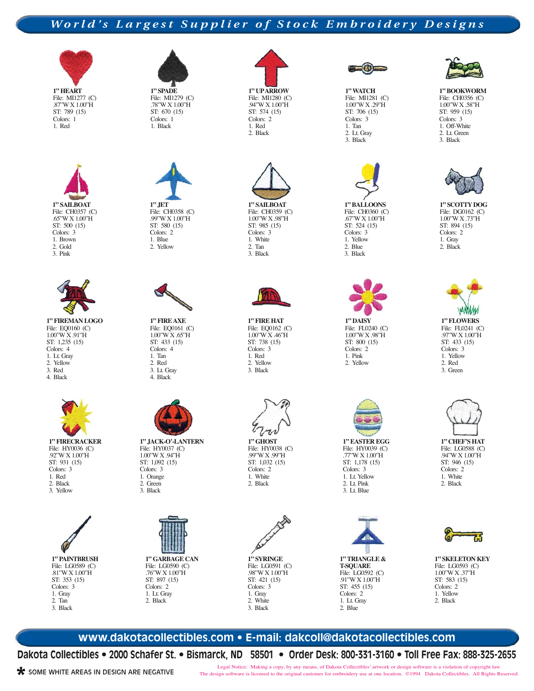## *World's Largest Supplier of Stock Embroidery Designs*



**1" HEART** File: MI1277 (C) .87"W X 1.00"H ST: 789 (15) Colors: 1 1. Red





**1" FIREMAN LOGO** File: EQ0160 (C) 1.00"W X .91"H ST: 1,235 (15) Colors: 4 1. Lt. Gray 2. Yellow 3. Red 4. Black



**1" FIRECRACKER** File: HY0036 (C) .92"W X 1.00"H ST: 931 (15) Colors: 3 1. Red 2. Black 3. Yellow







2. Yellow



**1" FIRE AXE** File: EQ0161 (C) 1.00"W X .65"H ST: 433 (15) Colors: 4 1. Tan 2. Red 3. Lt. Gray 4. Black



**1" JACK-O'-LANTERN** File: HY0037 (C) 1.00"W X .94"H ST: 1,092 (15) Colors: 3 1. Orange 2. Green 3. Black



File: LG0590 (C) .76"W X 1.00"H ST: 897 (15) Colors: 2 1. Lt. Gray 2. Black



File: MI1280 (C) .94"W X 1.00"H ST: 574 (15) Colors: 2 1. Red 2. Black



File: CH0359 (C) 1.00"W X .98"H ST: 985 (15) Colors: 3 1. White 2. Tan 3. Black



**1" FIRE HAT** File: EQ0162 (C) 1.00"W X .46"H ST: 738 (15) Colors: 3 1. Red 2. Yellow 3. Black



**1" GHOST** File: HY0038 (C) .99"W X .99"H ST: 1,032 (15) Colors: 2 1. White 2. Black



**1" SYRINGE** File: LG0591 (C) .98"W X 1.00"H ST: 421 (15) Colors: 3 1. Gray 2. White 3. Black



**1" WATCH** File: MI1281 (C) 1.00"W X .29"H ST: 706 (15) Colors: 3 1. Tan 2. Lt. Gray 3. Black



**1" BALLOONS** File: CH0360 (C) .67"W X 1.00"H ST: 524 (15) Colors: 3 1. Yellow 2. Blue 3. Black



**1" DAISY** File: FL0240 (C) 1.00"W X .98"H ST: 800 (15) Colors: 2 1. Pink 2. Yellow



File: HY0039 (C) .77"W X 1.00"H ST: 1,178 (15) Colors: 3 1. Lt. Yellow 2. Lt. Pink 3. Lt. Blue





**1" BOOKWORM** File: CH0356 (C) 1.00"W X .58"H ST: 959 (15) Colors: 3 1. Off-White 2. Lt. Green 3. Black



**1" SCOTTY DOG** File: DG0162 (C) 1.00"W X .73"H ST: 894 (15) Colors: 2 1. Gray 2. Black



**1" CHEF'S HAT** File: LG0588 (C)

.94"W X 1.00"H ST: 946 (15) Colors: 2 1. White 2. Black



**1" SKELETON KEY** File: LG0593 (C) 1.00"W X .37"H ST: 583 (15) Colors: 2 1. Yellow 2. Black

**www.dakotacollectibles.com • E-mail: dakcoll@dakotacollectibles.com**

**Dakota Collectibles • 2000 Schafer St. • Bismarck, ND 58501 • Order Desk: 800-331-3160 • Toll Free Fax: 888-325-2655**